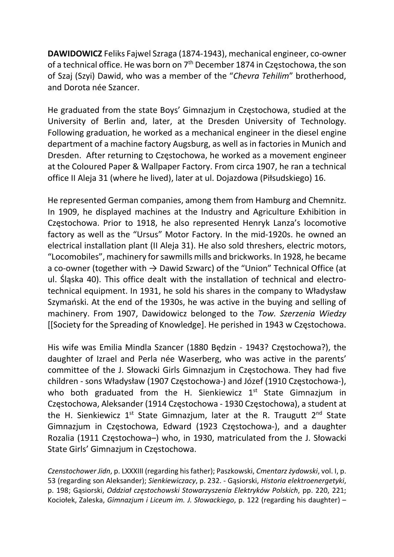DAWIDOWICZ Feliks Fajwel Szraga (1874-1943), mechanical engineer, co-owner of a technical office. He was born on 7<sup>th</sup> December 1874 in Częstochowa, the son of Szaj (Szyi) Dawid, who was a member of the "Chevra Tehilim" brotherhood, and Dorota née Szancer.

He graduated from the state Boys' Gimnazjum in Częstochowa, studied at the University of Berlin and, later, at the Dresden University of Technology. Following graduation, he worked as a mechanical engineer in the diesel engine department of a machine factory Augsburg, as well as in factories in Munich and Dresden. After returning to Częstochowa, he worked as a movement engineer at the Coloured Paper & Wallpaper Factory. From circa 1907, he ran a technical office II Aleja 31 (where he lived), later at ul. Dojazdowa (Piłsudskiego) 16.

He represented German companies, among them from Hamburg and Chemnitz. In 1909, he displayed machines at the Industry and Agriculture Exhibition in Częstochowa. Prior to 1918, he also represented Henryk Lanza's locomotive factory as well as the "Ursus" Motor Factory. In the mid-1920s. he owned an electrical installation plant (II Aleja 31). He also sold threshers, electric motors, "Locomobiles", machinery for sawmills mills and brickworks. In 1928, he became a co-owner (together with  $\rightarrow$  Dawid Szwarc) of the "Union" Technical Office (at ul. Śląska 40). This office dealt with the installation of technical and electrotechnical equipment. In 1931, he sold his shares in the company to Władysław Szymański. At the end of the 1930s, he was active in the buying and selling of machinery. From 1907, Dawidowicz belonged to the Tow. Szerzenia Wiedzy [[Society for the Spreading of Knowledge]. He perished in 1943 w Częstochowa.

His wife was Emilia Mindla Szancer (1880 Będzin - 1943? Częstochowa?), the daughter of Izrael and Perla née Waserberg, who was active in the parents' committee of the J. Słowacki Girls Gimnazjum in Częstochowa. They had five children - sons Władysław (1907 Częstochowa-) and Józef (1910 Częstochowa-), who both graduated from the H. Sienkiewicz  $1<sup>st</sup>$  State Gimnazjum in Częstochowa, Aleksander (1914 Częstochowa - 1930 Częstochowa), a student at the H. Sienkiewicz  $1^{st}$  State Gimnazjum, later at the R. Traugutt  $2^{nd}$  State Gimnazjum in Częstochowa, Edward (1923 Częstochowa-), and a daughter Rozalia (1911 Częstochowa–) who, in 1930, matriculated from the J. Słowacki State Girls' Gimnazjum in Częstochowa.

Czenstochower Jidn, p. LXXXIII (regarding his father); Paszkowski, Cmentarz żydowski, vol. I, p. 53 (regarding son Aleksander); Sienkiewiczacy, p. 232. - Gąsiorski, Historia elektroenergetyki, p. 198; Gąsiorski, Oddział częstochowski Stowarzyszenia Elektryków Polskich, pp. 220, 221; Kociołek, Zaleska, Gimnazjum i Liceum im. J. Słowackiego, p. 122 (regarding his daughter) –